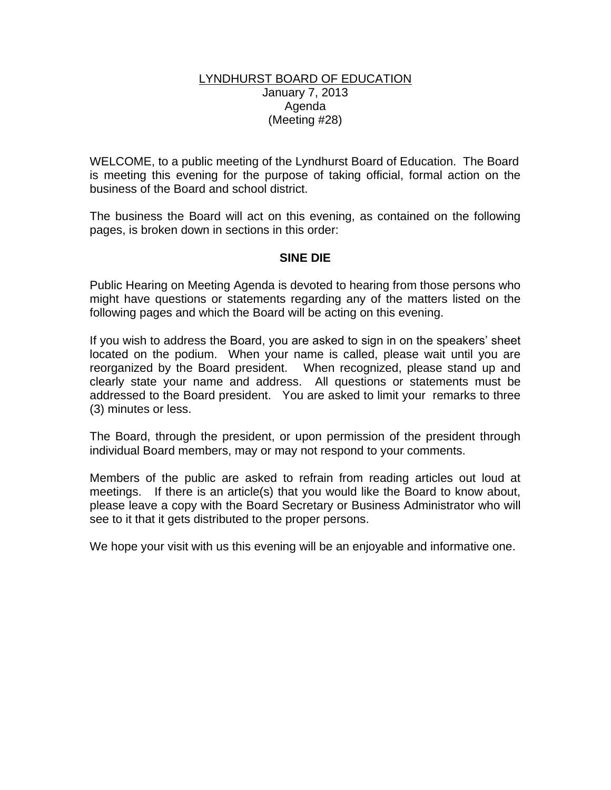## LYNDHURST BOARD OF EDUCATION January 7, 2013 Agenda (Meeting #28)

WELCOME, to a public meeting of the Lyndhurst Board of Education. The Board is meeting this evening for the purpose of taking official, formal action on the business of the Board and school district.

The business the Board will act on this evening, as contained on the following pages, is broken down in sections in this order:

## **SINE DIE**

Public Hearing on Meeting Agenda is devoted to hearing from those persons who might have questions or statements regarding any of the matters listed on the following pages and which the Board will be acting on this evening.

If you wish to address the Board, you are asked to sign in on the speakers' sheet located on the podium. When your name is called, please wait until you are reorganized by the Board president. When recognized, please stand up and clearly state your name and address. All questions or statements must be addressed to the Board president. You are asked to limit your remarks to three (3) minutes or less.

The Board, through the president, or upon permission of the president through individual Board members, may or may not respond to your comments.

Members of the public are asked to refrain from reading articles out loud at meetings. If there is an article(s) that you would like the Board to know about, please leave a copy with the Board Secretary or Business Administrator who will see to it that it gets distributed to the proper persons.

We hope your visit with us this evening will be an enjoyable and informative one.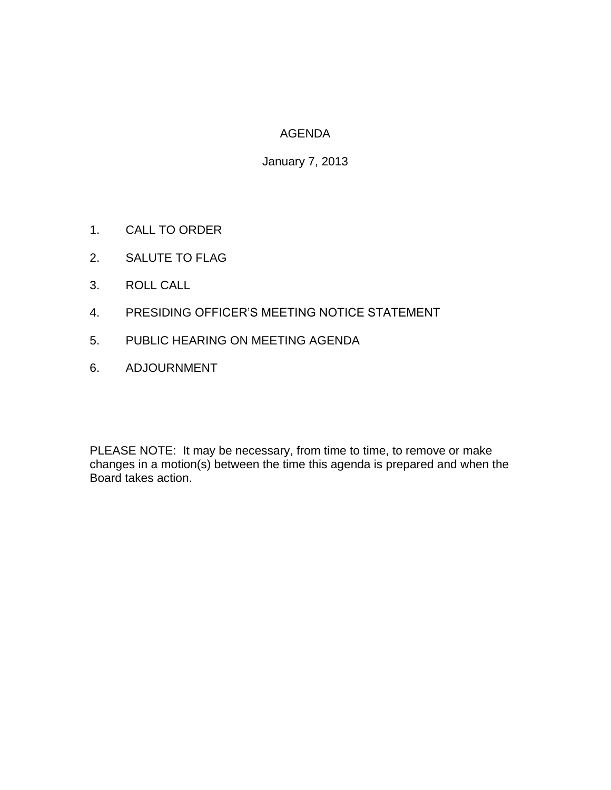## AGENDA

January 7, 2013

- 1. CALL TO ORDER
- 2. SALUTE TO FLAG
- 3. ROLL CALL
- 4. PRESIDING OFFICER'S MEETING NOTICE STATEMENT
- 5. PUBLIC HEARING ON MEETING AGENDA
- 6. ADJOURNMENT

PLEASE NOTE: It may be necessary, from time to time, to remove or make changes in a motion(s) between the time this agenda is prepared and when the Board takes action.